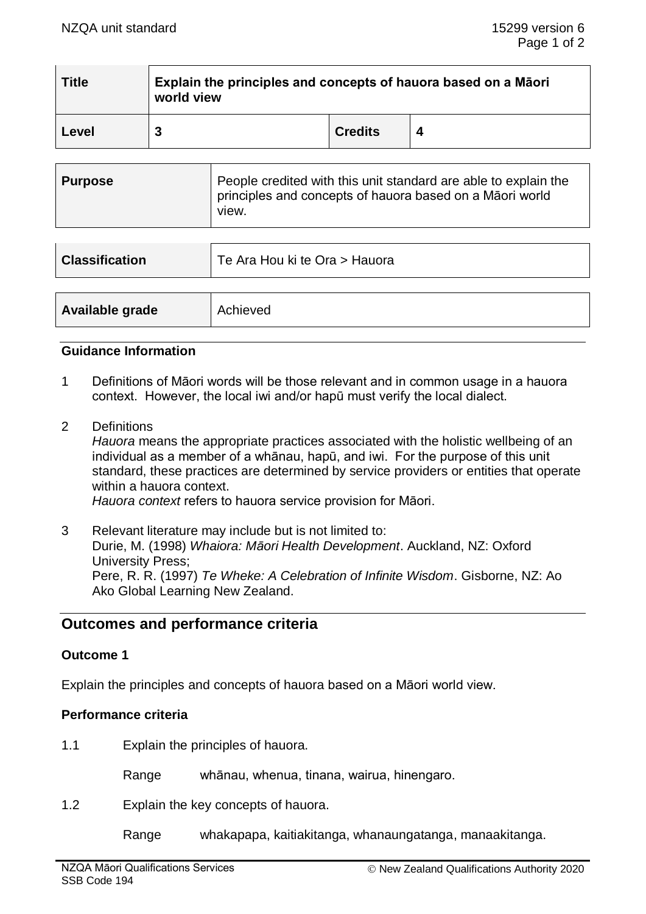| <b>Title</b> | Explain the principles and concepts of hauora based on a Māori<br>world view |                |  |  |  |
|--------------|------------------------------------------------------------------------------|----------------|--|--|--|
| Level        | 3                                                                            | <b>Credits</b> |  |  |  |

| <b>Purpose</b> | People credited with this unit standard are able to explain the<br>principles and concepts of hauora based on a Māori world<br>view. |
|----------------|--------------------------------------------------------------------------------------------------------------------------------------|
|----------------|--------------------------------------------------------------------------------------------------------------------------------------|

| <b>Classification</b> | Te Ara Hou ki te Ora > Hauora |
|-----------------------|-------------------------------|
|                       |                               |
| Available grade       | Achieved                      |

#### **Guidance Information**

- 1 Definitions of Māori words will be those relevant and in common usage in a hauora context. However, the local iwi and/or hapū must verify the local dialect.
- 2 Definitions

*Hauora* means the appropriate practices associated with the holistic wellbeing of an individual as a member of a whānau, hapū, and iwi. For the purpose of this unit standard, these practices are determined by service providers or entities that operate within a hauora context.

*Hauora context* refers to hauora service provision for Māori.

3 Relevant literature may include but is not limited to: Durie, M. (1998) *Whaiora: Māori Health Development*. Auckland, NZ: Oxford University Press; Pere, R. R. (1997) *Te Wheke: A Celebration of Infinite Wisdom*. Gisborne, NZ: Ao Ako Global Learning New Zealand.

# **Outcomes and performance criteria**

### **Outcome 1**

Explain the principles and concepts of hauora based on a Māori world view.

### **Performance criteria**

1.1 Explain the principles of hauora.

Range whānau, whenua, tinana, wairua, hinengaro.

1.2 Explain the key concepts of hauora.

Range whakapapa, kaitiakitanga, whanaungatanga, manaakitanga.